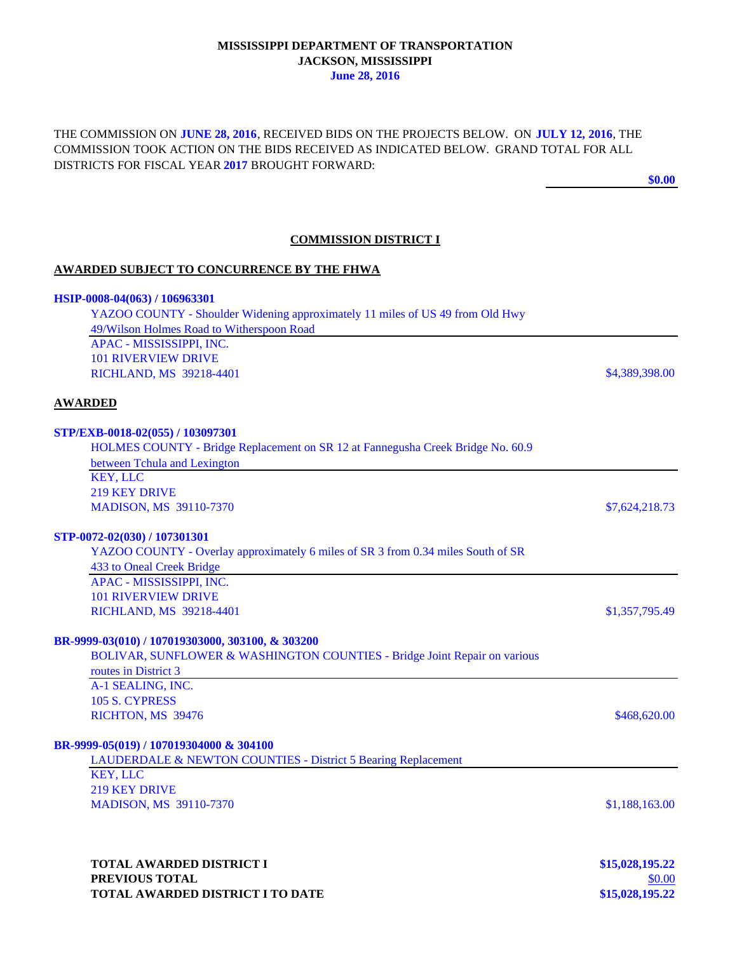### **MISSISSIPPI DEPARTMENT OF TRANSPORTATION JACKSON, MISSISSIPPI June 28, 2016**

THE COMMISSION ON **JUNE 28, 2016**, RECEIVED BIDS ON THE PROJECTS BELOW. ON **JULY 12, 2016**, THE COMMISSION TOOK ACTION ON THE BIDS RECEIVED AS INDICATED BELOW. GRAND TOTAL FOR ALL DISTRICTS FOR FISCAL YEAR **2017** BROUGHT FORWARD:

**\$0.00**

## **COMMISSION DISTRICT I**

#### **AWARDED SUBJECT TO CONCURRENCE BY THE FHWA**

| HSIP-0008-04(063) / 106963301                                                    |                 |
|----------------------------------------------------------------------------------|-----------------|
| YAZOO COUNTY - Shoulder Widening approximately 11 miles of US 49 from Old Hwy    |                 |
| 49/Wilson Holmes Road to Witherspoon Road                                        |                 |
| APAC - MISSISSIPPI, INC.                                                         |                 |
| <b>101 RIVERVIEW DRIVE</b>                                                       |                 |
| RICHLAND, MS 39218-4401                                                          | \$4,389,398.00  |
| <b>AWARDED</b>                                                                   |                 |
| STP/EXB-0018-02(055) / 103097301                                                 |                 |
| HOLMES COUNTY - Bridge Replacement on SR 12 at Fannegusha Creek Bridge No. 60.9  |                 |
| between Tchula and Lexington                                                     |                 |
| <b>KEY, LLC</b>                                                                  |                 |
| <b>219 KEY DRIVE</b>                                                             |                 |
| <b>MADISON, MS 39110-7370</b>                                                    | \$7,624,218.73  |
| STP-0072-02(030) / 107301301                                                     |                 |
| YAZOO COUNTY - Overlay approximately 6 miles of SR 3 from 0.34 miles South of SR |                 |
| 433 to Oneal Creek Bridge                                                        |                 |
| APAC - MISSISSIPPI, INC.                                                         |                 |
| <b>101 RIVERVIEW DRIVE</b>                                                       |                 |
| RICHLAND, MS 39218-4401                                                          | \$1,357,795.49  |
| BR-9999-03(010) / 107019303000, 303100, & 303200                                 |                 |
| BOLIVAR, SUNFLOWER & WASHINGTON COUNTIES - Bridge Joint Repair on various        |                 |
| routes in District 3                                                             |                 |
| A-1 SEALING, INC.                                                                |                 |
| 105 S. CYPRESS                                                                   |                 |
| RICHTON, MS 39476                                                                | \$468,620.00    |
| BR-9999-05(019) / 107019304000 & 304100                                          |                 |
| LAUDERDALE & NEWTON COUNTIES - District 5 Bearing Replacement                    |                 |
| <b>KEY, LLC</b>                                                                  |                 |
| <b>219 KEY DRIVE</b>                                                             |                 |
| <b>MADISON, MS 39110-7370</b>                                                    | \$1,188,163.00  |
|                                                                                  |                 |
|                                                                                  |                 |
| TOTAL AWARDED DISTRICT I                                                         | \$15,028,195.22 |
| PREVIOUS TOTAL                                                                   | \$0.00          |

**TOTAL AWARDED DISTRICT I TO DATE \$15,028,195.22**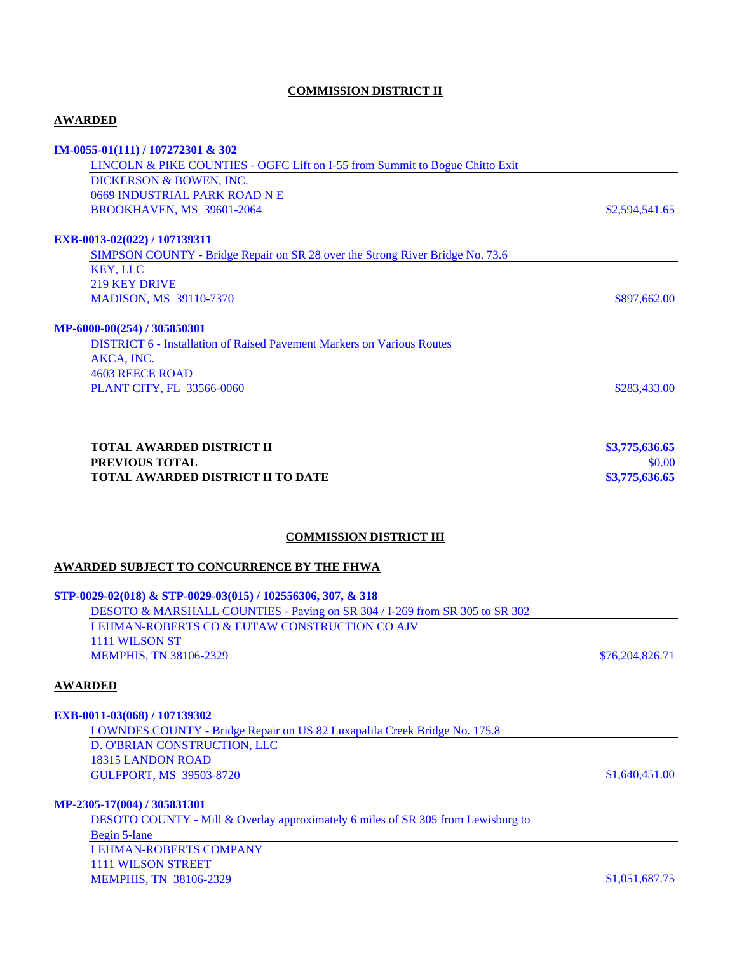# **COMMISSION DISTRICT II**

# **AWARDED**

| IM-0055-01(111) / 107272301 & 302                                                                                            |                 |
|------------------------------------------------------------------------------------------------------------------------------|-----------------|
| LINCOLN & PIKE COUNTIES - OGFC Lift on I-55 from Summit to Bogue Chitto Exit                                                 |                 |
| DICKERSON & BOWEN, INC.<br>0669 INDUSTRIAL PARK ROAD N E                                                                     |                 |
| BROOKHAVEN, MS 39601-2064                                                                                                    | \$2,594,541.65  |
| EXB-0013-02(022) / 107139311                                                                                                 |                 |
| SIMPSON COUNTY - Bridge Repair on SR 28 over the Strong River Bridge No. 73.6                                                |                 |
| <b>KEY, LLC</b>                                                                                                              |                 |
| <b>219 KEY DRIVE</b>                                                                                                         |                 |
| <b>MADISON, MS 39110-7370</b>                                                                                                | \$897,662.00    |
| MP-6000-00(254) / 305850301                                                                                                  |                 |
| <b>DISTRICT 6 - Installation of Raised Pavement Markers on Various Routes</b>                                                |                 |
| AKCA, INC.                                                                                                                   |                 |
| <b>4603 REECE ROAD</b>                                                                                                       |                 |
| PLANT CITY, FL 33566-0060                                                                                                    | \$283,433.00    |
|                                                                                                                              |                 |
| <b>TOTAL AWARDED DISTRICT II</b>                                                                                             | \$3,775,636.65  |
| PREVIOUS TOTAL                                                                                                               | \$0.00          |
| <b>TOTAL AWARDED DISTRICT II TO DATE</b>                                                                                     | \$3,775,636.65  |
|                                                                                                                              |                 |
| <b>COMMISSION DISTRICT III</b>                                                                                               |                 |
| <b>AWARDED SUBJECT TO CONCURRENCE BY THE FHWA</b>                                                                            |                 |
|                                                                                                                              |                 |
| STP-0029-02(018) & STP-0029-03(015) / 102556306, 307, & 318                                                                  |                 |
| DESOTO & MARSHALL COUNTIES - Paving on SR 304 / I-269 from SR 305 to SR 302<br>LEHMAN-ROBERTS CO & EUTAW CONSTRUCTION CO AJV |                 |
| 1111 WILSON ST                                                                                                               |                 |
| <b>MEMPHIS, TN 38106-2329</b>                                                                                                | \$76,204,826.71 |
| <b>AWARDED</b>                                                                                                               |                 |
|                                                                                                                              |                 |
| EXB-0011-03(068) / 107139302                                                                                                 |                 |
| LOWNDES COUNTY - Bridge Repair on US 82 Luxapalila Creek Bridge No. 175.8                                                    |                 |
| D. O'BRIAN CONSTRUCTION, LLC                                                                                                 |                 |
| 18315 LANDON ROAD                                                                                                            |                 |
| <b>GULFPORT, MS 39503-8720</b>                                                                                               | \$1,640,451.00  |
| MP-2305-17(004) / 305831301                                                                                                  |                 |
| DESOTO COUNTY - Mill & Overlay approximately 6 miles of SR 305 from Lewisburg to                                             |                 |
| Begin 5-lane                                                                                                                 |                 |
| <b>LEHMAN-ROBERTS COMPANY</b><br><b>1111 WILSON STREET</b>                                                                   |                 |
| <b>MEMPHIS, TN 38106-2329</b>                                                                                                | \$1,051,687.75  |
|                                                                                                                              |                 |